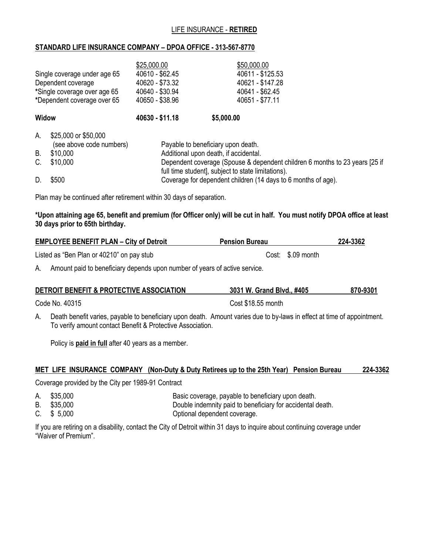## LIFE INSURANCE - **RETIRED**

## **STANDARD LIFE INSURANCE COMPANY – DPOA OFFICE - 313-567-8770**

| Single coverage under age 65<br>Dependent coverage<br>*Single coverage over age 65<br>*Dependent coverage over 65 |                                                                          | \$25,000.00<br>40610 - \$62.45<br>40620 - \$73.32<br>40640 - \$30.94<br>40650 - \$38.96 | \$50,000.00<br>40611 - \$125.53<br>40621 - \$147.28<br>40641 - \$62.45<br>40651 - \$77.11                                                                                                                        |  |
|-------------------------------------------------------------------------------------------------------------------|--------------------------------------------------------------------------|-----------------------------------------------------------------------------------------|------------------------------------------------------------------------------------------------------------------------------------------------------------------------------------------------------------------|--|
| <b>Widow</b>                                                                                                      |                                                                          | 40630 - \$11.18                                                                         | \$5,000.00                                                                                                                                                                                                       |  |
| А.<br>В.<br>C.                                                                                                    | \$25,000 or \$50,000<br>(see above code numbers)<br>\$10,000<br>\$10,000 |                                                                                         | Payable to beneficiary upon death.<br>Additional upon death, if accidental.<br>Dependent coverage (Spouse & dependent children 6 months to 23 years [25 if<br>full time student], subject to state limitations). |  |

D. \$500 Servers Serverage for dependent children (14 days to 6 months of age).

Plan may be continued after retirement within 30 days of separation.

**\*Upon attaining age 65, benefit and premium (for Officer only) will be cut in half. You must notify DPOA office at least 30 days prior to 65th birthday.**

| <b>EMPLOYEE BENEFIT PLAN - City of Detroit</b> | <b>Pension Bureau</b> | 224-3362 |
|------------------------------------------------|-----------------------|----------|
| Listed as "Ben Plan or 40210" on pay stub      | Cost: \$.09 month     |          |

A. Amount paid to beneficiary depends upon number of years of active service.

| DETROIT BENEFIT & PROTECTIVE ASSOCIATION | 3031 W. Grand Blvd., #405 | 870-9301 |
|------------------------------------------|---------------------------|----------|
| Code No. 40315                           | Cost \$18.55 month        |          |

A. Death benefit varies, payable to beneficiary upon death. Amount varies due to by-laws in effect at time of appointment. To verify amount contact Benefit & Protective Association.

Policy is **paid in full** after 40 years as a member.

## **MET LIFE INSURANCE COMPANY (Non-Duty & Duty Retirees up to the 25th Year) Pension Bureau 224-3362**

Coverage provided by the City per 1989-91 Contract

- A. \$35,000 Basic coverage, payable to beneficiary upon death.
- B. \$35,000 Double indemnity paid to beneficiary for accidental death.
- C. \$5,000 C. COMERCIAL CONSERVATION CONTRACTED CONTRACTED CONTRACTED CONTRACTED CONTRACTED CONTRACTED CONTRACTED CONTRACTED CONTRACTED CONTRACTED SUBSERVIATION OF CONTRACTED CONTRACTED CONTRACTED CONTRACTED CONTRACTED CONT

If you are retiring on a disability, contact the City of Detroit within 31 days to inquire about continuing coverage under "Waiver of Premium".